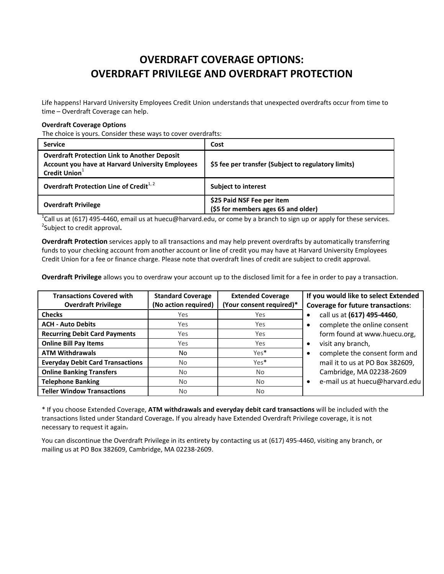## OVERDRAFT COVERAGE OPTIONS: OVERDRAFT PRIVILEGE AND OVERDRAFT PROTECTION

Life happens! Harvard University Employees Credit Union understands that unexpected overdrafts occur from time to time – Overdraft Coverage can help.

## Overdraft Coverage Options

The choice is yours. Consider these ways to cover overdrafts:

| <b>Service</b>                                                                                                                              | Cost                                                              |
|---------------------------------------------------------------------------------------------------------------------------------------------|-------------------------------------------------------------------|
| <b>Overdraft Protection Link to Another Deposit</b><br><b>Account you have at Harvard University Employees</b><br>Credit Union <sup>1</sup> | \$5 fee per transfer (Subject to regulatory limits)               |
| Overdraft Protection Line of Credit <sup>1,2</sup>                                                                                          | <b>Subject to interest</b>                                        |
| <b>Overdraft Privilege</b>                                                                                                                  | \$25 Paid NSF Fee per item<br>(\$5 for members ages 65 and older) |

<sup>1</sup>Call us at (617) 495-4460, email us at huecu@harvard.edu, or come by a branch to sign up or apply for these services.<br><sup>2</sup>Subject to eradit approval <sup>2</sup>Subject to credit approval.

Overdraft Protection services apply to all transactions and may help prevent overdrafts by automatically transferring funds to your checking account from another account or line of credit you may have at Harvard University Employees Credit Union for a fee or finance charge. Please note that overdraft lines of credit are subject to credit approval.

Overdraft Privilege allows you to overdraw your account up to the disclosed limit for a fee in order to pay a transaction.

| <b>Transactions Covered with</b><br><b>Overdraft Privilege</b> | <b>Standard Coverage</b><br>(No action required) | <b>Extended Coverage</b><br>(Your consent required)* | If you would like to select Extended<br><b>Coverage for future transactions:</b> |
|----------------------------------------------------------------|--------------------------------------------------|------------------------------------------------------|----------------------------------------------------------------------------------|
| <b>Checks</b>                                                  | Yes                                              | Yes                                                  | call us at (617) 495-4460,                                                       |
| <b>ACH - Auto Debits</b>                                       | Yes                                              | Yes                                                  | complete the online consent                                                      |
| <b>Recurring Debit Card Payments</b>                           | Yes                                              | Yes                                                  | form found at www.huecu.org,                                                     |
| <b>Online Bill Pay Items</b>                                   | Yes.                                             | Yes                                                  | visit any branch,<br>$\bullet$                                                   |
| <b>ATM Withdrawals</b>                                         | No.                                              | Yes*                                                 | complete the consent form and<br>$\bullet$                                       |
| <b>Everyday Debit Card Transactions</b>                        | No.                                              | Yes*                                                 | mail it to us at PO Box 382609,                                                  |
| <b>Online Banking Transfers</b>                                | No.                                              | <b>No</b>                                            | Cambridge, MA 02238-2609                                                         |
| <b>Telephone Banking</b>                                       | N <sub>o</sub>                                   | N <sub>o</sub>                                       | e-mail us at huecu@harvard.edu<br>$\bullet$                                      |
| <b>Teller Window Transactions</b>                              | No.                                              | N <sub>o</sub>                                       |                                                                                  |

\* If you choose Extended Coverage, ATM withdrawals and everyday debit card transactions will be included with the transactions listed under Standard Coverage. If you already have Extended Overdraft Privilege coverage, it is not necessary to request it again.

You can discontinue the Overdraft Privilege in its entirety by contacting us at (617) 495-4460, visiting any branch, or mailing us at PO Box 382609, Cambridge, MA 02238-2609.